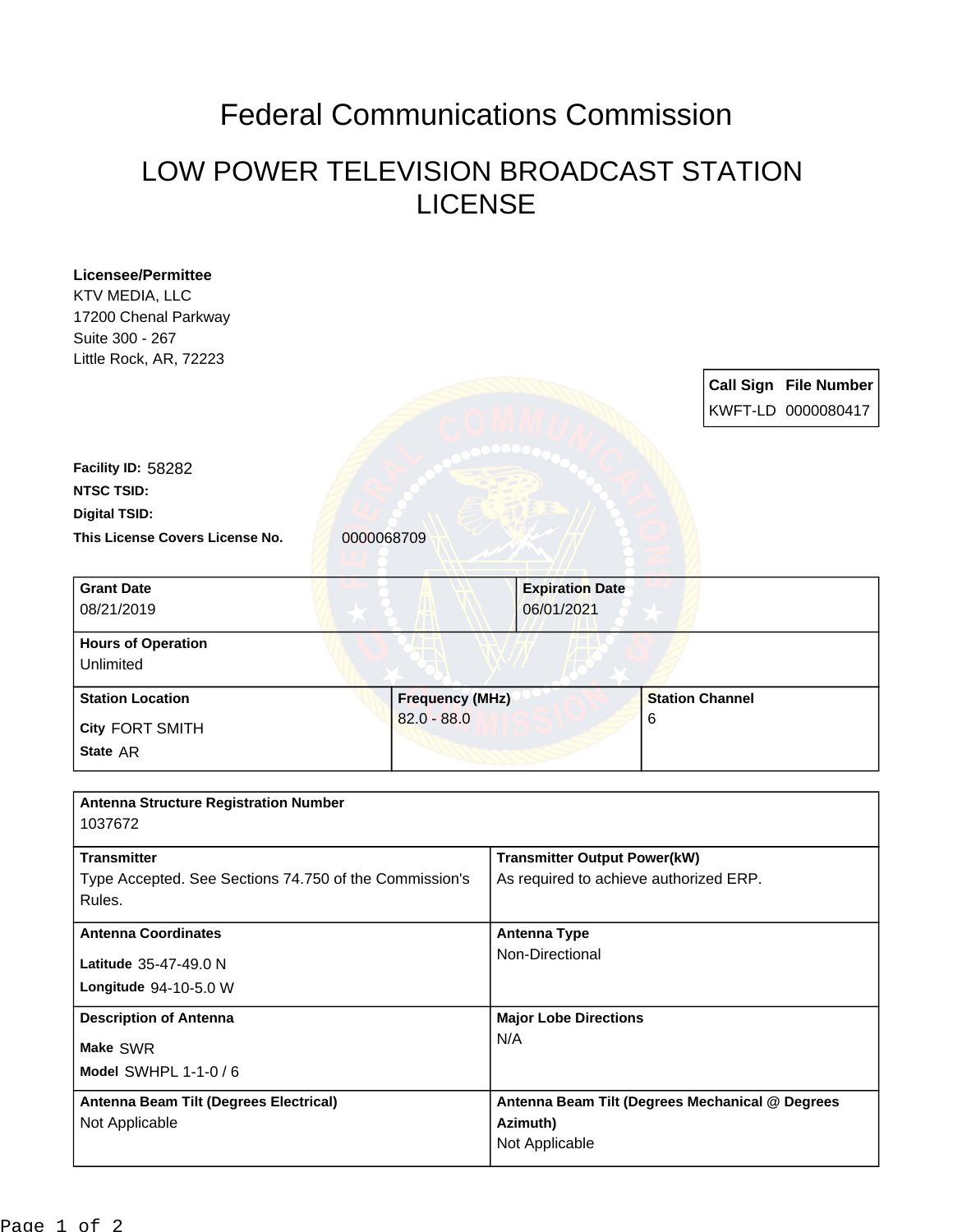## Federal Communications Commission

## LOW POWER TELEVISION BROADCAST STATION LICENSE

| <b>Licensee/Permittee</b>                              |                        |                                                 |                        |  |
|--------------------------------------------------------|------------------------|-------------------------------------------------|------------------------|--|
| KTV MEDIA, LLC                                         |                        |                                                 |                        |  |
| 17200 Chenal Parkway<br>Suite 300 - 267                |                        |                                                 |                        |  |
| Little Rock, AR, 72223                                 |                        |                                                 |                        |  |
|                                                        |                        |                                                 | Call Sign File Number  |  |
|                                                        |                        |                                                 | KWFT-LD 0000080417     |  |
|                                                        |                        |                                                 |                        |  |
| Facility ID: 58282                                     |                        |                                                 |                        |  |
| <b>NTSC TSID:</b>                                      |                        |                                                 |                        |  |
| <b>Digital TSID:</b>                                   |                        |                                                 |                        |  |
| This License Covers License No.<br>0000068709          |                        |                                                 |                        |  |
|                                                        |                        |                                                 |                        |  |
| <b>Grant Date</b>                                      |                        | <b>Expiration Date</b>                          |                        |  |
| 08/21/2019                                             |                        | 06/01/2021                                      |                        |  |
| <b>Hours of Operation</b>                              |                        |                                                 |                        |  |
| Unlimited                                              |                        |                                                 |                        |  |
| <b>Station Location</b>                                | <b>Frequency (MHz)</b> |                                                 | <b>Station Channel</b> |  |
| City FORT SMITH                                        | $82.0 - 88.0$          |                                                 | 6                      |  |
| State AR                                               |                        |                                                 |                        |  |
|                                                        |                        |                                                 |                        |  |
| <b>Antenna Structure Registration Number</b>           |                        |                                                 |                        |  |
| 1037672                                                |                        |                                                 |                        |  |
| <b>Transmitter</b>                                     |                        | <b>Transmitter Output Power(kW)</b>             |                        |  |
| Type Accepted. See Sections 74.750 of the Commission's |                        | As required to achieve authorized ERP.          |                        |  |
| Rules.                                                 |                        |                                                 |                        |  |
| <b>Antenna Coordinates</b><br>Latitude 35-47-49.0 N    |                        | <b>Antenna Type</b><br>Non-Directional          |                        |  |
|                                                        |                        |                                                 |                        |  |
|                                                        |                        | <b>Major Lobe Directions</b>                    |                        |  |
| <b>Description of Antenna</b>                          |                        | N/A                                             |                        |  |
| Make SWR                                               |                        |                                                 |                        |  |
| Model SWHPL 1-1-0 / 6                                  |                        |                                                 |                        |  |
| Antenna Beam Tilt (Degrees Electrical)                 |                        | Antenna Beam Tilt (Degrees Mechanical @ Degrees |                        |  |
|                                                        |                        |                                                 |                        |  |
| Not Applicable                                         |                        | Azimuth)<br>Not Applicable                      |                        |  |